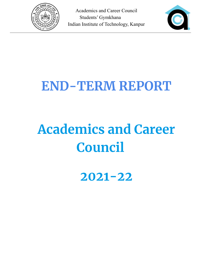



# **END-TERM REPORT**

# **Academics and Career Council**

**2021-22**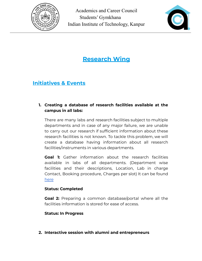



# **Research Wing**

# **Initiatives & Events**

#### **1. Creating a database of research facilities available at the campus in all labs:**

There are many labs and research facilities subject to multiple departments and in case of any major failure, we are unable to carry out our research if sufficient information about these research facilities is not known. To tackle this problem, we will create a database having information about all research facilities/instruments in various departments.

**Goal 1:** Gather information about the research facilities available in labs of all departments. (Department wise facilities and their descriptions, Location, Lab in charge Contact, Booking procedure, Charges per slot) It can be found [here](https://docs.google.com/document/d/1XiO1-INhgnVV-G68Aq50Cb9oZFCjhn4y/edit?usp=sharing&ouid=109288410689311942077&rtpof=true&sd=true)

#### **Status: Completed**

**Goal 2:** Preparing a common database/portal where all the facilities information is stored for ease of access.

#### **Status: In Progress**

**2. Interactive session with alumni and entrepreneurs**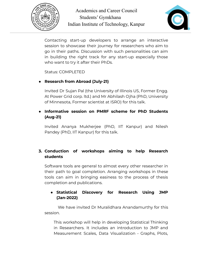



Contacting start-up developers to arrange an interactive session to showcase their journey for researchers who aim to go in their paths. Discussion with such personalities can aim in building the right track for any start-up especially those who want to try it after their PhDs.

Status: COMPLETED

#### **● Research from Abroad (July-21)**

Invited Dr Sujan Pal (the University of Illinois US, Former Engg. At Power Grid corp. ltd.) and Mr Abhilash Ojha (PhD, University of Minnesota, Former scientist at ISRO) for this talk.

#### **● Informative session on PMRF scheme for PhD Students (Aug-21)**

Invited Ananya Mukherjee (PhD, IIT Kanpur) and Nilesh Pandey (PhD, IIT Kanpur) for this talk.

#### **3. Conduction of workshops aiming to help Research students**

Software tools are general to almost every other researcher in their path to goal completion. Arranging workshops in these tools can aim in bringing easiness to the process of thesis completion and publications.

#### **● Statistical Discovery for Research Using JMP (Jan-2022)**

We have invited Dr Muralidhara Anandamurthy for this session.

This workshop will help in developing Statistical Thinking in Researchers. It includes an introduction to JMP and Measurement Scales, Data Visualization - Graphs, Plots,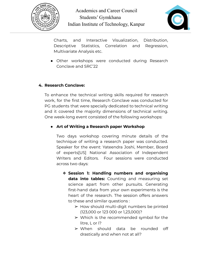



Charts, and Interactive Visualization, Distribution, Descriptive Statistics, Correlation and Regression, Multivariate Analysis etc.

● Other workshops were conducted during Research Conclave and SRC'22

#### **4. Research Conclave:**

To enhance the technical writing skills required for research work, for the first time, Research Conclave was conducted for PG students that were specially dedicated to technical writing and it covered the majority dimensions of technical writing. One week-long event consisted of the following workshops:

#### **● Art of Writing a Research paper Workshop**

Two days workshop covering minute details of the technique of writing a research paper was conducted. Speaker for the event: Yateendra Joshi, Member, Board of experts[US] National Association of Independent Writers and Editors. Four sessions were conducted across two days:

- ❖ **Session 1: Handling numbers and organising data into tables:** Counting and measuring set science apart from other pursuits. Generating first-hand data from your own experiments is the heart of the research. The session offers answers to these and similar questions :
	- $\triangleright$  How should multi-digit numbers be printed (123,000 or 123 000 or 1,23,000)?
	- $\triangleright$  Which is the recommended symbol for the litre, L or l?
	- ➢ When should data be rounded off drastically and when not at all?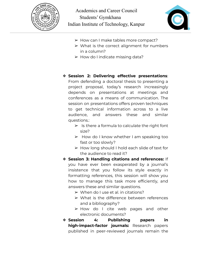



- ➢ How can I make tables more compact?
- $\triangleright$  What is the correct alignment for numbers in a column?
- $\triangleright$  How do I indicate missing data?

#### ❖ **Session 2: Delivering effective presentations**:

From defending a doctoral thesis to presenting a project proposal, today's research increasingly depends on presentations at meetings and conferences as a means of communication. The session on presentations offers proven techniques to get technical information across to a live audience, and answers these and similar questions.:

- $\triangleright$  Is there a formula to calculate the right font size?
- $\triangleright$  How do I know whether I am speaking too fast or too slowly?
- ➢ How long should I hold each slide of text for the audience to read it?
- ❖ **Session 3: Handling citations and references:** If you have ever been exasperated by a journal's insistence that you follow its style exactly in formatting references, this session will show you how to manage this task more efficiently, and answers these and similar questions.
	- $\triangleright$  When do I use et al. in citations?
	- $\triangleright$  What is the difference between references and a bibliography?
	- ➢ How do I cite web pages and other electronic documents?
- ❖ **Session 4: Publishing papers in high-impact-factor journals:** Research papers published in peer-reviewed journals remain the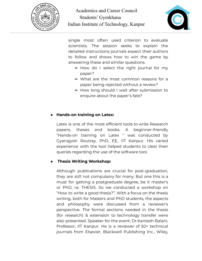



single most often used criterion to evaluate scientists. The session seeks to explain the detailed instructions journals expect their authors to follow and shows how to win the game by answering these and similar questions.

- $\triangleright$  How do I select the right journal for my paper?
- $\triangleright$  What are the most common reasons for a paper being rejected without a review?
- $\triangleright$  How long should I wait after submission to enquire about the paper's fate?

#### ● **Hands-on training on Latex:**

Latex is one of the most efficient tools to write Research papers, theses and books. A beginner-friendly "Hands-on training on Latex '' was conducted by Gyanajyoti Routray, PhD, EE, IIT Kanpur. His varied experience with the tool helped students to clear their queries regarding the use of the software tool.

#### ● **Thesis Writing Workshop:**

Although publications are crucial for post-graduation, they are still not compulsory for many. But one this is a must for getting a postgraduate degree, be it master's or PhD, i.e. THESIS. So we conducted a workshop on "How to write a good thesis?". With a focus on the thesis writing, both for Masters and PhD students, the aspects and philosophy were discussed from a reviewer's perspective. The formal sections needed in the thesis (for research) & extension to technology transfer were also presented. Speaker for the event: Dr.Kantesh Balani, Professor, IIT Kanpur. He is a reviewer of 50+ technical journals from Elsevier, Blackwell Publishing Inc., Wiley,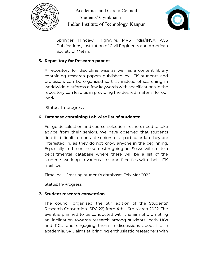



Springer, Hindawi, Highwire, MRS India/INSA, ACS Publications, Institution of Civil Engineers and American Society of Metals.

#### **5. Repository for Research papers:**

A repository for discipline wise as well as a content library containing research papers published by IITK students and professors can be organized so that instead of searching in worldwide platforms a few keywords with specifications in the repository can lead us in providing the desired material for our work.

Status: In-progress

#### **6. Database containing Lab wise list of students:**

For guide selection and course, selection freshers need to take advice from their seniors. We have observed that students find it difficult to contact seniors of a particular lab they are interested in, as they do not know anyone in the beginning. Especially in the online semester going on. So we will create a departmental database where there will be a list of the students working in various labs and faculties with their IITK mail IDs.

Timeline: Creating student's database: Feb-Mar 2022

Status: In-Progress

#### **7. Student research convention**

The council organised the 5th edition of the Students' Research Convention (SRC'22) from 4th - 6th March 2022. The event is planned to be conducted with the aim of promoting an inclination towards research among students, both UGs and PGs, and engaging them in discussions about life in academia. SRC aims at bringing enthusiastic researchers with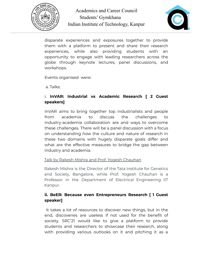



disparate experiences and exposures together to provide them with a platform to present and share their research experiences, while also providing students with an opportunity to engage with leading researchers across the globe through keynote lectures, panel discussions, and workshops.

Events organised were:

a. Talks:

#### i. **InVAR: Industrial vs Academic Research [ 2 Guest speakers]**

InVAR aims to bring together top industrialists and people from academia to discuss the challenges to industry-academia collaboration are and ways to overcome these challenges. There will be a panel discussion with a focus on understanding how the culture and nature of research in these two domains with hugely disparate goals differ and what are the effective measures to bridge the gap between industry and academia.

#### Talk by Rakesh Mishra and Prof. Yogesh Chauhan

Rakesh Mishra is the Director of the Tata Institute for Genetics and Society, Bangalore, while Prof. Yogesh Chauhan is a Professor in the Department of Electrical Engineering IIT Kanpur.

#### **ii. BeER: Because even Entrepreneurs Research [ 1 Guest speaker]**

It takes a lot of resources to discover new things, but in the end, discoveries are useless if not used for the benefit of society. SRC'21 would like to give a platform to provide students and researchers to showcase their research, along with providing various outlooks on it and pitching it as a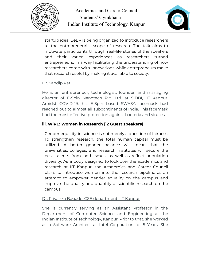



startup idea. BeER is being organized to introduce researchers to the entrepreneurial scope of research. The talk aims to motivate participants through real-life stories of the speakers and their varied experiences as researchers turned entrepreneurs, in a way facilitating the understanding of how researchers come with innovations while entrepreneurs make that research useful by making it available to society.

#### Dr. Sandip Patil

He is an entrepreneur, technologist, founder, and managing director of E-Spin Nanotech Pvt. Ltd. at SIDBI, IIT Kanpur. Amidst COVID-19, his E-Spin based SWASA facemask had reached out to almost all subcontinents of India. This facemask had the most effective protection against bacteria and viruses.

#### **iii. WiRE: Women in Research [ 2 Guest speakers]**

Gender equality in science is not merely a question of fairness. To strengthen research, the total human capital must be utilized. A better gender balance will mean that the universities, colleges, and research institutes will secure the best talents from both sexes, as well as reflect population diversity. As a body designed to look over the academics and research at IIT Kanpur, the Academics and Career Council plans to introduce women into the research pipeline as an attempt to empower gender equality on the campus and improve the quality and quantity of scientific research on the campus.

#### Dr. Priyanka Bagade, CSE department, IIT Kanpur

She is currently serving as an Assistant Professor in the Department of Computer Science and Engineering at the Indian Institute of Technology, Kanpur. Prior to that, she worked as a Software Architect at Intel Corporation for 5 Years. She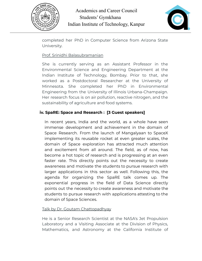



completed her PhD in Computer Science from Arizona State University.

#### Prof. Srinidhi Balasubramanian

She is currently serving as an Assistant Professor in the Environmental Science and Engineering Department at the Indian Institute of Technology, Bombay. Prior to that, she worked as a Postdoctoral Researcher at the University of Minnesota. She completed her PhD in Environmental Engineering from the University of Illinois Urbana-Champaign. Her research focus is on air pollution, reactive nitrogen, and the sustainability of agriculture and food systems.

#### **iv. SpaRE: Space and Research : [3 Guest speakers]**

In recent years, India and the world, as a whole have seen immense development and achievement in the domain of Space Research. From the launch of Mangalyaan to SpaceX implementing its reusable rocket at even greater scales, the domain of Space exploration has attracted much attention and excitement from all around. The field, as of now, has become a hot topic of research and is progressing at an even faster rate. This directly points out the necessity to create awareness and motivate the students to pursue research with larger applications in this sector as well. Following this, the agenda for organizing the SpaRE talk comes up. The exponential progress in the field of Data Science directly points out the necessity to create awareness and motivate the students to pursue research with applications attesting to the domain of Space Sciences.

#### Talk by Dr. Goutam Chattopadhyay

He is a Senior Research Scientist at the NASA's Jet Propulsion Laboratory and a Visiting Associate at the Division of Physics, Mathematics, and Astronomy at the California Institute of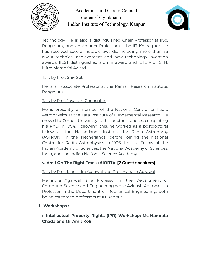



Technology. He is also a distinguished Chair Professor at IISc, Bengaluru, and an Adjunct Professor at the IIT Kharagpur. He has received several notable awards, including more than 35 NASA technical achievement and new technology invention awards, IIEST distinguished alumni award and IETE Prof. S. N. Mitra Memorial Award.

#### Talk by Prof. Shiv Sethi

He is an Associate Professor at the Raman Research Institute, Bengaluru.

#### Talk by Prof. Jayaram Chengalur

He is presently a member of the National Centre for Radio Astrophysics at the Tata Institute of Fundamental Research. He moved to Cornell University for his doctoral studies, completing his PhD in 1994. Following this, he worked as a postdoctoral fellow at the Netherlands Institute for Radio Astronomy (ASTRON) in the Netherlands, before joining the National Centre for Radio Astrophysics in 1996. He is a Fellow of the Indian Academy of Sciences, the National Academy of Sciences, India, and the Indian National Science Academy.

#### **v. Am I On The Right Track (AIORT): [2 Guest speakers]**

#### Talk by Prof. Manindra Agrawal and Prof. Avinash Agrawal

Manindra Agarwal is a Professor in the Department of Computer Science and Engineering while Avinash Agarwal is a Professor in the Department of Mechanical Engineering, both being esteemed professors at IIT Kanpur.

#### b. **Workshops :**

#### i. **Intellectual Property Rights (IPR) Workshop: Ms Namrata Chada and Mr Amit Koli**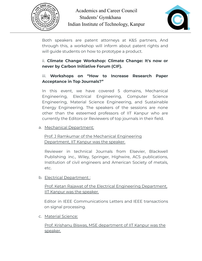



Both speakers are patent attorneys at K&S partners, And through this, a workshop will inform about patent rights and will guide students on how to prototype a product.

#### ii. **Climate Change Workshop: Climate Change: It's now or never by Carbon Initiative Forum (CIF).**

#### iii. **Workshops on "How to Increase Research Paper Acceptance in Top Journals?"**

In this event, we have covered 5 domains, Mechanical Engineering, Electrical Engineering, Computer Science Engineering, Material Science Engineering, and Sustainable Energy Engineering. The speakers of the sessions are none other than the esteemed professors of IIT Kanpur who are currently the Editors or Reviewers of top journals in their field.

#### a. Mechanical Department:

Prof. J Ramkumar of the Mechanical Engineering Department, IIT Kanpur was the speaker.

Reviewer in technical Journals from Elsevier, Blackwell Publishing inc., Wiley, Springer, Highwire, ACS publications, Institution of civil engineers and American Society of metals, etc.

#### b. Electrical Department:

Prof. Ketan Rajawat of the Electrical Engineering Department, IIT Kanpur was the speaker.

Editor in IEEE Communications Letters and IEEE transactions on signal processing.

c. Material Science:

Prof. Krishanu Biswas, MSE department of IIT Kanpur was the speaker.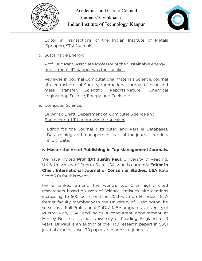



Editor in Transactions of the Indian Institute of Metals (Springer), STM Journals

#### d. Sustainable Energy:

Prof. Lalit Pant, Associate Professor of the Sustainable energy department, IIT Kanpur was the speaker.

Reviewer in Journal Computational Materials Science, Journal of electrochemical Society, International journal of heat and mass transfer, Scientific Reports(Nature), Chemical engineering Science, Energy, and Fuels, etc.

#### e. Computer Science:

Dr. Arnab Bhatt, Department of Computer Science and Engineering, IIT Kanpur was the speaker.

Editor for the Journal distributed and Parallel Databases, Data mining and management part of the journal frontiers in Big Data.

#### iv. **Master the Art of Publishing in Top Management Journals.**

We have invited **Prof (Dr) Justin Paul**, University of Reading, UK & University of Puerto Rico, USA, who is currently **Editor in Chief, International Journal of Consumer Studies, USA** (Cite Score 7.0) for this event**.**

He is ranked among the world's top 0.1% highly cited researchers based on Web of Science statistics with citations increasing to 500 per month in 2021 with an H Index 46. A former faculty member with the University of Washington, he serves as a Full Professor of PhD. & MBA programs, University of Puerto Rico, USA, and holds a concurrent appointment at Henley Business school, University of Reading, England for 3 years. Dr Paul is an author of over 130 research papers in SSCI journals and has over 70 papers in A or A star journals.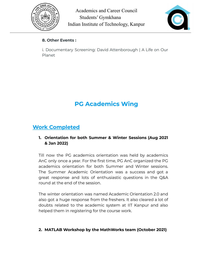



#### **8. Other Events :**

i. Documentary Screening: David Attenborough | A Life on Our Planet

# **PG Academics Wing**

## **Work Completed**

#### **1. Orientation for both Summer & Winter Sessions (Aug 2021 & Jan 2022)**

Till now the PG academics orientation was held by academics AnC only once a year. For the first time, PG AnC organized the PG academics orientation for both Summer and Winter sessions. The Summer Academic Orientation was a success and got a great response and lots of enthusiastic questions in the Q&A round at the end of the session.

The winter orientation was named Academic Orientation 2.0 and also got a huge response from the freshers. It also cleared a lot of doubts related to the academic system at IIT Kanpur and also helped them in registering for the course work.

#### **2. MATLAB Workshop by the MathWorks team (October 2021)**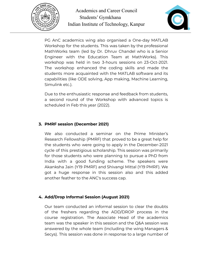



PG AnC academics wing also organised a One-day MATLAB Workshop for the students. This was taken by the professional MathWorks team (led by Dr. Dhruv Chandel who is a Senior Engineer with the Education Team at MathWorks). This workshop was held in two 3-hours sessions on 23-Oct-2021. The workshop enhanced the coding skills and made the students more acquainted with the MATLAB software and its capabilities (like ODE solving, App making, Machine Learning, Simulink etc.).

Due to the enthusiastic response and feedback from students, a second round of the Workshop with advanced topics is scheduled in Feb this year (2022).

#### **3. PMRF session (December 2021)**

We also conducted a seminar on the Prime Minister's Research Fellowship (PMRF) that proved to be a great help for the students who were going to apply in the December-2021 cycle of this prestigious scholarship. This session was primarily for those students who were planning to pursue a PhD from India with a good funding scheme. The speakers were Akanksha Jain (Y19 PMRF) and Shivangi Mittal (Y19 PMRF). We got a huge response in this session also and this added another feather to the ANC's success cap.

#### **4. Add/Drop Informal Session (August 2021)**

Our team conducted an informal session to clear the doubts of the freshers regarding the ADD/DROP process in the course registration. The Associate Head of the academics team was the speaker in this session and the Q&A session was answered by the whole team (including the wing Managers & Secys). This session was done in response to a large number of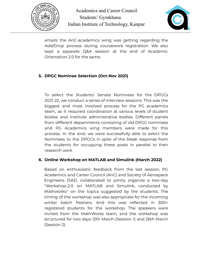



emails the AnC-academics wing was getting regarding the Add/Drop process during coursework registration. We also kept a separate Q&A session at the end of Academic Orientation 2.0 for the same.

#### **5. DPGC Nominee Selection (Oct-Nov 2021)**

To select the Students' Senate Nominees for the DPGCs 2021-22, we conduct a series of interview sessions. This was the biggest and most involved process for the PG academics team, as it required coordination at various levels of student bodies and institute administrative bodies. Different panels from different departments consisting of old DPGC nominees and PG Academics wing members were made for this process. In the end, we were successfully able to select the Nominees to the DPGCs in spite of the bleak response from the students for occupying these posts in parallel to their research work

#### **6. Online Workshop on MATLAB and Simulink (March 2022)**

Based on enthusiastic feedback from the last session, PG Academics and Career Council (AnC) and Society of Aerospace Engineers (SAE) collaborated to jointly organize a two-day "Workshop-2.0 on MATLAB and Simulink, conducted by Mathworks" on the topics suggested by the students. The timing of the workshop was also appropriate for the incoming winter batch freshers. And this was reflected in 300+ registered students for the workshop. The speakers were invited from the MathWorks team, and the workshop was structured for two days 12th March (Session 1) and 26th March (Session 2).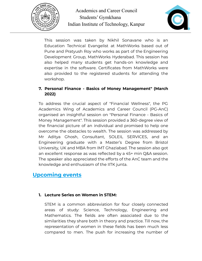



This session was taken by Nikhil Sonavane who is an Education Technical Evangelist at MathWorks based out of Pune and Pratyush Roy who works as part of the Engineering Development Group, MathWorks Hyderabad. This session has also helped many students get hands-on knowledge and expertise in the software. Certificates from MathWorks were also provided to the registered students for attending the workshop.

#### **7. Personal Finance - Basics of Money Management" (March 2022)**

To address the crucial aspect of "Financial Wellness", the PG Academics Wing of Academics and Career Council (PG-AnC) organised an insightful session on "Personal Finance - Basics of Money Management". This session provided a 360-degree view of the financial picture of an individual and promised to help one overcome the obstacles to wealth. The session was addressed by Mr Aditya Ghosh, Consultant, SOLEIL SERVICES, and an Engineering graduate with a Master's Degree from Bristol University, UK and MBA from IMT Ghaziabad. The session also got an excellent response as was reflected by a 45+ min Q&A session. The speaker also appreciated the efforts of the AnC team and the knowledge and enthusiasm of the IITK junta.

## **Upcoming events**

#### **1. Lecture Series on Women in STEM:**

STEM is a common abbreviation for four closely connected areas of study: Science, Technology, Engineering and Mathematics. The fields are often associated due to the similarities they share both in theory and practice. Till now, the representation of women in these fields has been much less compared to men. The push for increasing the number of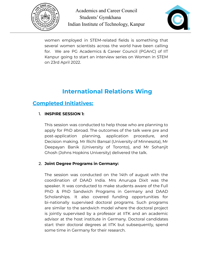



women employed in STEM-related fields is something that several women scientists across the world have been calling for. We are PG Academics & Career Council (PGAnC) of IIT Kanpur going to start an interview series on Women in STEM on 23rd April 2022.

# **International Relations Wing**

## **Completed Initiatives:**

#### 1. **INSPIRE SESSION 1:**

This session was conducted to help those who are planning to apply for PhD abroad. The outcomes of the talk were pre and post-application planning, application procedure, and Decision making. Mr Richi Bansal (University of Minnesota), Mr Deepayan Banik (University of Toronto), and Mr Sohanjit Ghosh (Johns Hopkins University) delivered the talk.

#### 2. **Joint Degree Programs in Germany:**

The session was conducted on the 14th of august with the coordination of DAAD India. Mrs Anurupa Dixit was the speaker. It was conducted to make students aware of the Full PhD & PhD Sandwich Programs in Germany and DAAD Scholarships. It also covered funding opportunities for bi-nationally supervised doctoral programs. Such programs are similar to the sandwich model where the doctoral project is jointly supervised by a professor at IITK and an academic advisor at the host institute in Germany. Doctoral candidates start their doctoral degrees at IITK but subsequently, spend some time in Germany for their research.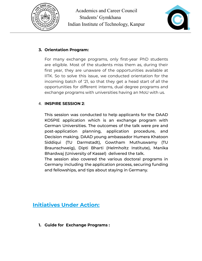



#### **3. Orientation Program:**

For many exchange programs, only first-year PhD students are eligible. Most of the students miss them as, during their first year, they are unaware of the opportunities available at IITK. So to solve this issue, we conducted orientation for the incoming batch of '21, so that they get a head start of all the opportunities for different interns, dual degree programs and exchange programs with universities having an MoU with us.

#### 4. **INSPIRE SESSION 2**:

This session was conducted to help applicants for the DAAD KOSPIE application which is an exchange program with German Universities. The outcomes of the talk were pre and post-application planning, application procedure, and Decision making. DAAD young ambassador Humera Khatoon Siddiqui (TU Darmstadt), Gowtham Muthuswamy (TU Braunschweig), Dipti Bharti (Helmholtz Institute), Manika Bhardwaj (University of Kassel) delivered the talk.

The session also covered the various doctoral programs in Germany including the application process, securing funding and fellowships, and tips about staying in Germany.

## **Initiatives Under Action:**

**1. Guide for Exchange Programs :**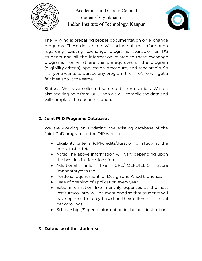



The IR wing is preparing proper documentation on exchange programs. These documents will include all the information regarding existing exchange programs available for PG students and all the information related to these exchange programs like what are the prerequisites of the program (eligibility criteria), application procedure, and scholarship. So if anyone wants to pursue any program then he/she will get a fair idea about the same.

Status: We have collected some data from seniors. We are also seeking help from OIR. Then we will compile the data and will complete the documentation.

#### **2. Joint PhD Programs Database :**

We are working on updating the existing database of the Joint PhD program on the OIR website.

- Eligibility criteria (CPI/credits/duration of study at the home institute).
- Note: The above information will vary depending upon the host institution's location.
- Additional info like GRE/TOEFL/IELTS score (mandatory/desired).
- Portfolio requirement for Design and Allied branches.
- Date of opening of application every year.
- Extra information like monthly expenses at the host institute/country will be mentioned so that students will have options to apply based on their different financial backgrounds.
- Scholarships/Stipend information in the host institution.

#### 3. **Database of the students:**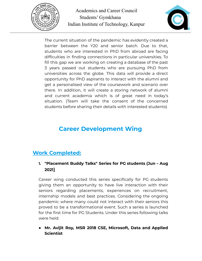



The current situation of the pandemic has evidently created a barrier between the Y20 and senior batch. Due to that, students who are interested in PhD from abroad are facing difficulties in finding connections in particular universities. To fill this gap we are working on creating a database of the past 3 years passed out students who are pursuing PhD from universities across the globe. This data will provide a direct opportunity for PhD aspirants to interact with the alumni and get a personalised view of the coursework and scenario over there. In addition, it will create a storing network of alumni and current academia which is of great need in today's situation. (Team will take the consent of the concerned students before sharing their details with interested students)

# **Career Development Wing**

## **Work Completed:**

#### **1. "Placement Buddy Talks" Series for PG students (Jun – Aug 2021)**

Career wing conducted this series specifically for PG students giving them an opportunity to have live interaction with their seniors regarding placements, experiences on recruitment, internship models and best practices. Considering the ongoing pandemic where many could not interact with their seniors this proved to be a transformational event. Such a series is launched for the first time for PG Students. Under this series following talks were held:

**● Mr. Avijit Roy, MSR 2018 CSE, Microsoft, Data and Applied Scientist**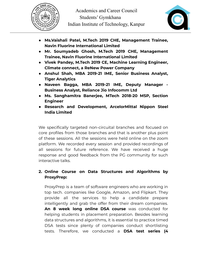



- **● Ms.Vaishali Patel, M.Tech 2019 CHE, Management Trainee, Navin Fluorine International Limited**
- **● Mr. Soumyadeb Ghosh, M.Tech 2019 CHE, Management Trainee, Navin Fluorine International Limited**
- **● Vivek Pandey, M.Tech 2019 CE, Machine Learning Engineer, Climate connect, a ReNew Power Company**
- **● Anshul Shah, MBA 2019-21 IME, Senior Business Analyst, Tiger Analytics**
- **● Naveen Bagga, MBA 2019-21 IME, Deputy Manager - Business Analyst, Reliance Jio Infocomm Ltd**
- **● Ms. Sanghamitra Banerjee, MTech 2018-20 MSP, Section Engineer**
- **● Research and Development, ArcelorMittal Nippon Steel India Limited**

We specifically targeted non-circuital branches and focused on core profiles from those branches and that is another plus point of these sessions. All the sessions were held online on the zoom platform. We recorded every session and provided recordings of all sessions for future reference. We have received a huge response and good feedback from the PG community for such interactive talks.

#### **2. Online Course on Data Structures and Algorithms by ProxyPrep:**

ProxyPrep is a team of software engineers who are working in top tech. companies like Google, Amazon, and Flipkart. They provide all the services to help a candidate prepare intelligently and grab the offer from their dream companies. **An 8 week long online DSA course** was conducted for helping students in placement preparation. Besides learning data structures and algorithms, it is essential to practice timed DSA tests since plenty of companies conduct shortlisting tests. Therefore, we conducted a **DSA test series (4**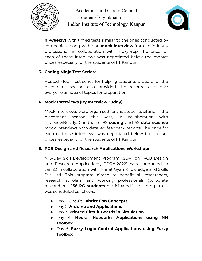



**bi-weekly)** with timed tests similar to the ones conducted by companies, along with one **mock interview** from an industry professional, in collaboration with ProxyPrep. The price for each of these interviews was negotiated below the market prices, especially for the students of IIT Kanpur.

#### **3. Coding Ninja Test Series:**

Hosted Mock Test series for helping students prepare for the placement season also provided the resources to give everyone an idea of topics for preparation.

#### **4. Mock Interviews (By InterviewBuddy)**

Mock Interviews were organised for the students sitting in the placement season this year, in collaboration with InterviewBuddy. Conducted 95 **coding** and 65 **data science** mock interviews with detailed feedback reports. The price for each of these interviews was negotiated below the market prices, especially for the students of IIT Kanpur.

#### **5. PCB Design and Research Applications Workshop:**

A 5-Day Skill Development Program (SDP) on "PCB Design and Research Applications, PDRA-2022" was conducted in Jan'22 in collaboration with Annat Gyan Knowledge and Skills Pvt Ltd. This program aimed to benefit all researchers, research scholars, and working professionals (corporate researchers). **158 PG students** participated in this program. It was scheduled as follows:

- Day 1: **Circuit Fabrication Concepts**
- Day 2: **Arduino and Applications**
- Day 3: **Printed Circuit Boards in Simulation**
- Day 4: **Neural Networks Applications using NN Toolbox**
- Day 5: **Fuzzy Logic Control Applications using Fuzzy Toolbox**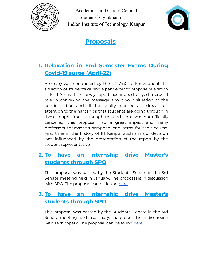



**Proposals**

# **1. Relaxation in End Semester Exams During Covid-19 surge (April-22)**

A survey was conducted by the PG AnC to know about the situation of students during a pandemic to propose relaxation in End Sems. The survey report has indeed played a crucial role in conveying the message about your situation to the administration and all the faculty members. It drew their attention to the hardships that students are going through in these tough times. Although the end sems was not officially cancelled, this proposal had a great impact and many professors themselves scrapped end sems for their course. First time in the history of IIT Kanpur such a major decision was influenced by the presentation of the report by the student representative.

## **2. To have an internship drive Master's students through SPO**

This proposal was passed by the Students' Senate in the 3rd Senate meeting held in January. The proposal is in discussion with SPO. The proposal can be found [here](https://drive.google.com/file/d/1gnNcCoBHi_2t-l7dWVlfqUXSOF4T5IEW/view?usp=sharing)

## **3. To have an internship drive Master's students through SPO**

This proposal was passed by the Students' Senate in the 3rd Senate meeting held in January. The proposal is in discussion with Technopark. The proposal can be found [here](https://drive.google.com/file/d/184j8x1ERN1R0McqllHvsSK011KPDiQXR/view?usp=sharing)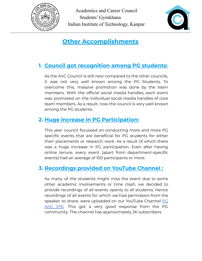



# **Other Accomplishments**

# **1. Council got recognition among PG students:**

As the AnC Council is still new compared to the other councils, it was not very well known among the PG Students. To overcome this, massive promotion was done by the team members. With the official social media handles, each event was promoted on the individual social media handles of core team members. As a result, now the council is very well known among the PG students.

## **2. Huge increase in PG Participation:**

This year council focussed on conducting more and more PG specific events that are beneficial for PG students for either their placements or research work. As a result of which there was a huge increase in PG participation. Even after having online tenure, every event (apart from department-specific events) had an average of 100 participants or more.

## **3. Recordings provided on YouTube Channel :**

As many of the students might miss the event due to some other academic involvements or time clash, we decided to provide recordings of all events openly to all students. Hence recordings of all events for which we had permission from the speaker to share, were uploaded on our YouTube Channel [PG](https://www.youtube.com/channel/UC-D5Neextts83C-OEFdc12Q) [AnC](https://www.youtube.com/channel/UC-D5Neextts83C-OEFdc12Q) IITK. This got a very good response from the PG community. The channel has approximately 2K subscribers.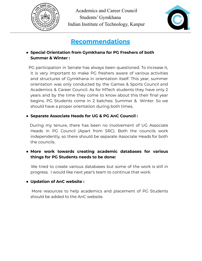



# **Recommendations**

#### **● Special Orientation from Gymkhana for PG Freshers of both Summer & Winter :**

PG participation in Senate has always been questioned. To increase it, it is very important to make PG freshers aware of various activities and structures of Gymkhana in orientation itself. This year, summer orientation was only conducted by the Games & Sports Council and Academics & Career Council. As for MTech students they have only 2 years and by the time they come to know about this their final year begins. PG Students come in 2 batches: Summer & Winter. So we should have a proper orientation during both times.

#### **● Separate Associate Heads for UG & PG AnC Council :**

During my tenure, there has been no involvement of UG Associate Heads in PG Council (Apart from SRC). Both the councils work independently, so there should be separate Associate Heads for both the councils.

#### **● More work towards creating academic databases for various things for PG Students needs to be done:**

We tried to create various databases but some of the work is still in progress. I would like next year's team to continue that work.

#### **● Updation of AnC website :**

More resources to help academics and placement of PG Students should be added to the AnC website.